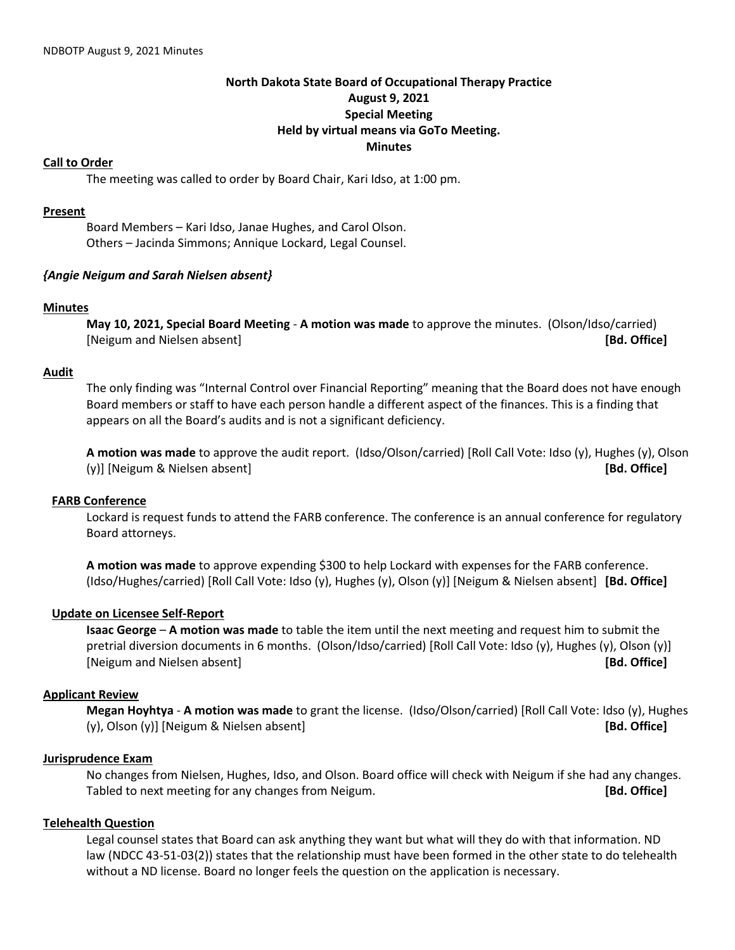# **North Dakota State Board of Occupational Therapy Practice August 9, 2021 Special Meeting Held by virtual means via GoTo Meeting. Minutes**

## **Call to Order**

The meeting was called to order by Board Chair, Kari Idso, at 1:00 pm.

## **Present**

Board Members – Kari Idso, Janae Hughes, and Carol Olson. Others – Jacinda Simmons; Annique Lockard, Legal Counsel.

## *{Angie Neigum and Sarah Nielsen absent}*

#### **Minutes**

**May 10, 2021, Special Board Meeting** - **A motion was made** to approve the minutes. (Olson/Idso/carried) [Neigum and Nielsen absent] **[Bd. Office]**

## **Audit**

The only finding was "Internal Control over Financial Reporting" meaning that the Board does not have enough Board members or staff to have each person handle a different aspect of the finances. This is a finding that appears on all the Board's audits and is not a significant deficiency.

**A motion was made** to approve the audit report. (Idso/Olson/carried) [Roll Call Vote: Idso (y), Hughes (y), Olson (y)] [Neigum & Nielsen absent] **[Bd. Office]**

#### **FARB Conference**

Lockard is request funds to attend the FARB conference. The conference is an annual conference for regulatory Board attorneys.

**A motion was made** to approve expending \$300 to help Lockard with expenses for the FARB conference. (Idso/Hughes/carried) [Roll Call Vote: Idso (y), Hughes (y), Olson (y)] [Neigum & Nielsen absent] **[Bd. Office]**

# **Update on Licensee Self-Report**

**Isaac George** – **A motion was made** to table the item until the next meeting and request him to submit the pretrial diversion documents in 6 months. (Olson/Idso/carried) [Roll Call Vote: Idso (y), Hughes (y), Olson (y)] [Neigum and Nielsen absent] **[Bd. Office]**

# **Applicant Review**

**Megan Hoyhtya** - **A motion was made** to grant the license. (Idso/Olson/carried) [Roll Call Vote: Idso (y), Hughes (y), Olson (y)] [Neigum & Nielsen absent] **[Bd. Office]**

# **Jurisprudence Exam**

No changes from Nielsen, Hughes, Idso, and Olson. Board office will check with Neigum if she had any changes. Tabled to next meeting for any changes from Neigum. **[Bd. Office]**

# **Telehealth Question**

Legal counsel states that Board can ask anything they want but what will they do with that information. ND law (NDCC 43-51-03(2)) states that the relationship must have been formed in the other state to do telehealth without a ND license. Board no longer feels the question on the application is necessary.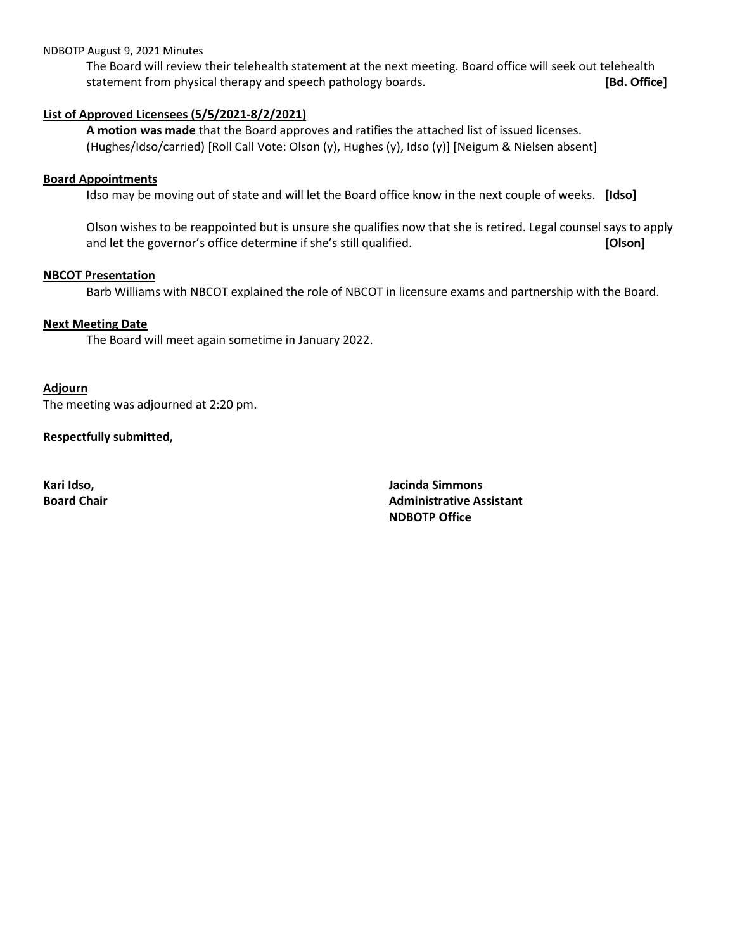### NDBOTP August 9, 2021 Minutes

The Board will review their telehealth statement at the next meeting. Board office will seek out telehealth statement from physical therapy and speech pathology boards. **[Bd. Office]**

# **List of Approved Licensees (5/5/2021-8/2/2021)**

**A motion was made** that the Board approves and ratifies the attached list of issued licenses. (Hughes/Idso/carried) [Roll Call Vote: Olson (y), Hughes (y), Idso (y)] [Neigum & Nielsen absent]

#### **Board Appointments**

Idso may be moving out of state and will let the Board office know in the next couple of weeks. **[Idso]**

Olson wishes to be reappointed but is unsure she qualifies now that she is retired. Legal counsel says to apply and let the governor's office determine if she's still qualified. **[Olson]** [Olson]

## **NBCOT Presentation**

Barb Williams with NBCOT explained the role of NBCOT in licensure exams and partnership with the Board.

## **Next Meeting Date**

The Board will meet again sometime in January 2022.

#### **Adjourn**

The meeting was adjourned at 2:20 pm.

## **Respectfully submitted,**

**Kari Idso, Jacinda Simmons Board Chair Administrative Assistant Administrative Assistant NDBOTP Office**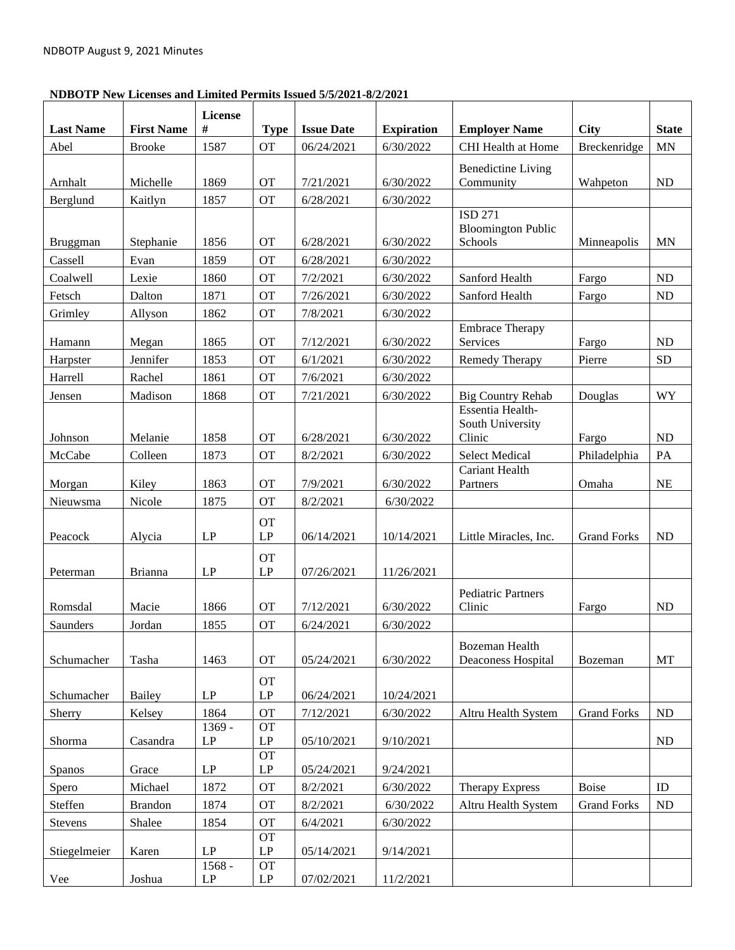# **NDBOTP New Licenses and Limited Permits Issued 5/5/2021-8/2/2021**

| <b>Last Name</b> | <b>First Name</b> | License<br>#            | <b>Type</b>                         | <b>Issue Date</b> | <b>Expiration</b> | <b>Employer Name</b>                           | <b>City</b>        | <b>State</b> |
|------------------|-------------------|-------------------------|-------------------------------------|-------------------|-------------------|------------------------------------------------|--------------------|--------------|
| Abel             | <b>Brooke</b>     | 1587                    | <b>OT</b>                           | 06/24/2021        | 6/30/2022         | <b>CHI</b> Health at Home                      | Breckenridge       | <b>MN</b>    |
| Arnhalt          | Michelle          | 1869                    | <b>OT</b>                           | 7/21/2021         | 6/30/2022         | <b>Benedictine Living</b><br>Community         | Wahpeton           | <b>ND</b>    |
| Berglund         | Kaitlyn           | 1857                    | <b>OT</b>                           | 6/28/2021         | 6/30/2022         |                                                |                    |              |
|                  |                   |                         |                                     |                   |                   | ISD 271<br><b>Bloomington Public</b>           |                    |              |
| Bruggman         | Stephanie         | 1856                    | <b>OT</b>                           | 6/28/2021         | 6/30/2022         | Schools                                        | Minneapolis        | <b>MN</b>    |
| Cassell          | Evan              | 1859                    | <b>OT</b>                           | 6/28/2021         | 6/30/2022         |                                                |                    |              |
| Coalwell         | Lexie             | 1860                    | <b>OT</b>                           | 7/2/2021          | 6/30/2022         | Sanford Health                                 | Fargo              | $\rm ND$     |
| Fetsch           | Dalton            | 1871                    | <b>OT</b>                           | 7/26/2021         | 6/30/2022         | Sanford Health                                 | Fargo              | ND           |
| Grimley          | Allyson           | 1862                    | <b>OT</b>                           | 7/8/2021          | 6/30/2022         | <b>Embrace Therapy</b>                         |                    |              |
| Hamann           | Megan             | 1865                    | <b>OT</b>                           | 7/12/2021         | 6/30/2022         | Services                                       | Fargo              | ND           |
| Harpster         | Jennifer          | 1853                    | <b>OT</b>                           | 6/1/2021          | 6/30/2022         | Remedy Therapy                                 | Pierre             | ${\rm SD}$   |
| Harrell          | Rachel            | 1861                    | <b>OT</b>                           | 7/6/2021          | 6/30/2022         |                                                |                    |              |
| Jensen           | Madison           | 1868                    | <b>OT</b>                           | 7/21/2021         | 6/30/2022         | <b>Big Country Rehab</b>                       | Douglas            | WY           |
|                  |                   |                         |                                     |                   |                   | Essentia Health-<br>South University           |                    |              |
| Johnson          | Melanie           | 1858                    | <b>OT</b>                           | 6/28/2021         | 6/30/2022         | Clinic                                         | Fargo              | ND           |
| McCabe           | Colleen           | 1873                    | <b>OT</b>                           | 8/2/2021          | 6/30/2022         | <b>Select Medical</b><br><b>Cariant Health</b> | Philadelphia       | PA           |
| Morgan           | Kiley             | 1863                    | <b>OT</b>                           | 7/9/2021          | 6/30/2022         | Partners                                       | Omaha              | NE           |
| Nieuwsma         | Nicole            | 1875                    | <b>OT</b>                           | 8/2/2021          | 6/30/2022         |                                                |                    |              |
| Peacock          | Alycia            | LP                      | <b>OT</b><br>LP                     | 06/14/2021        | 10/14/2021        | Little Miracles, Inc.                          | <b>Grand Forks</b> | ND           |
|                  |                   |                         | <b>OT</b>                           |                   |                   |                                                |                    |              |
| Peterman         | Brianna           | LP                      | LP                                  | 07/26/2021        | 11/26/2021        |                                                |                    |              |
| Romsdal          | Macie             | 1866                    | <b>OT</b>                           | 7/12/2021         | 6/30/2022         | <b>Pediatric Partners</b><br>Clinic            | Fargo              | <b>ND</b>    |
| Saunders         | Jordan            | 1855                    | <b>OT</b>                           | 6/24/2021         | 6/30/2022         |                                                |                    |              |
| Schumacher       | Tasha             | 1463                    | <b>OT</b>                           | 05/24/2021        | 6/30/2022         | <b>Bozeman Health</b><br>Deaconess Hospital    | Bozeman            | MT           |
| Schumacher       | Bailey            | $\mathbf{L}\mathbf{P}$  | <b>OT</b><br>$\mathrm{LP}$          | 06/24/2021        | 10/24/2021        |                                                |                    |              |
| Sherry           | Kelsey            | 1864                    | OT                                  | 7/12/2021         | 6/30/2022         | Altru Health System                            | <b>Grand Forks</b> | $\rm ND$     |
| Shorma           | Casandra          | 1369 -<br>$\mathrm{LP}$ | <b>OT</b><br>$\mathrm{LP}$          | 05/10/2021        | 9/10/2021         |                                                |                    | $\rm ND$     |
| <b>Spanos</b>    | Grace             | $\mathrm{LP}$           | <b>OT</b><br>$\mathbf{L}\mathbf{P}$ | 05/24/2021        | 9/24/2021         |                                                |                    |              |
| Spero            | Michael           | 1872                    | <b>OT</b>                           | 8/2/2021          | 6/30/2022         | Therapy Express                                | <b>Boise</b>       | ID           |
| Steffen          | <b>Brandon</b>    | 1874                    | <b>OT</b>                           | 8/2/2021          | 6/30/2022         | Altru Health System                            | <b>Grand Forks</b> | ND           |
| Stevens          | Shalee            | 1854                    | <b>OT</b>                           | 6/4/2021          | 6/30/2022         |                                                |                    |              |
| Stiegelmeier     | Karen             | $\mathbf{L}\mathbf{P}$  | <b>OT</b><br>$\mathbf{L}\mathbf{P}$ | 05/14/2021        | 9/14/2021         |                                                |                    |              |
| Vee              | Joshua            | $1568 -$<br>LP          | <b>OT</b><br>LP                     | 07/02/2021        | 11/2/2021         |                                                |                    |              |